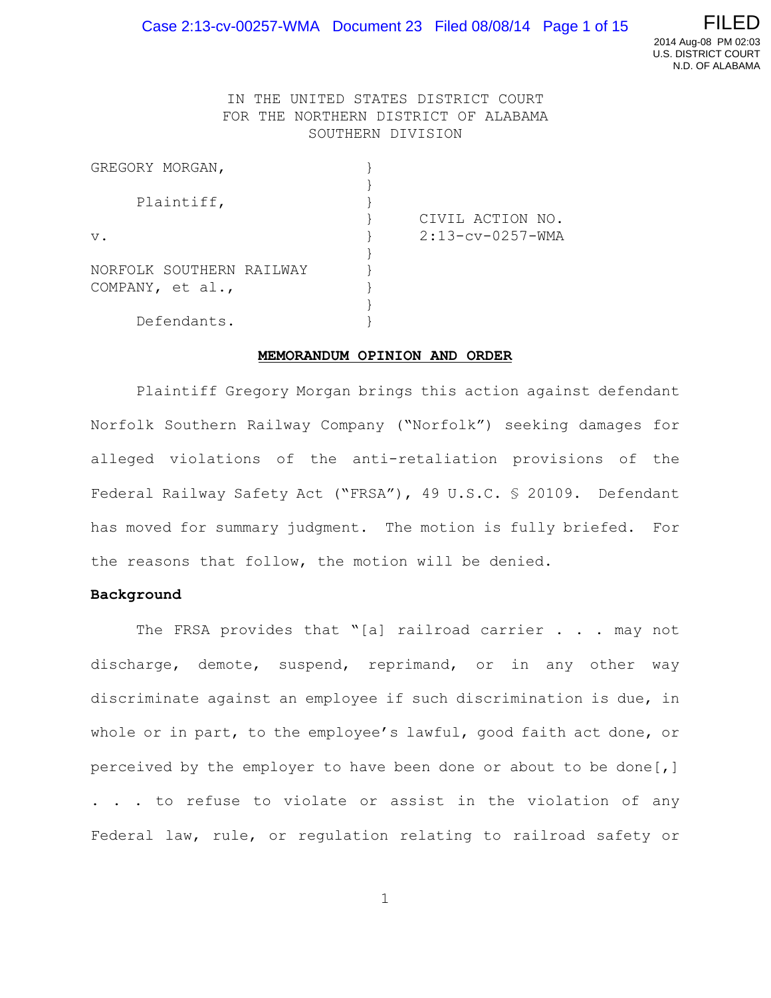

## IN THE UNITED STATES DISTRICT COURT FOR THE NORTHERN DISTRICT OF ALABAMA SOUTHERN DIVISION

| GREGORY MORGAN,          |                     |
|--------------------------|---------------------|
|                          |                     |
| Plaintiff,               |                     |
|                          | CIVIL ACTION NO.    |
| $V$ .                    | $2:13$ -cv-0257-WMA |
|                          |                     |
| NORFOLK SOUTHERN RAILWAY |                     |
| COMPANY, et al.,         |                     |
|                          |                     |
| Defendants.              |                     |

#### **MEMORANDUM OPINION AND ORDER**

Plaintiff Gregory Morgan brings this action against defendant Norfolk Southern Railway Company ("Norfolk") seeking damages for alleged violations of the anti-retaliation provisions of the Federal Railway Safety Act ("FRSA"), 49 U.S.C. § 20109. Defendant has moved for summary judgment. The motion is fully briefed. For the reasons that follow, the motion will be denied.

#### **Background**

The FRSA provides that "[a] railroad carrier . . . may not discharge, demote, suspend, reprimand, or in any other way discriminate against an employee if such discrimination is due, in whole or in part, to the employee's lawful, good faith act done, or perceived by the employer to have been done or about to be done[,] . . . to refuse to violate or assist in the violation of any Federal law, rule, or regulation relating to railroad safety or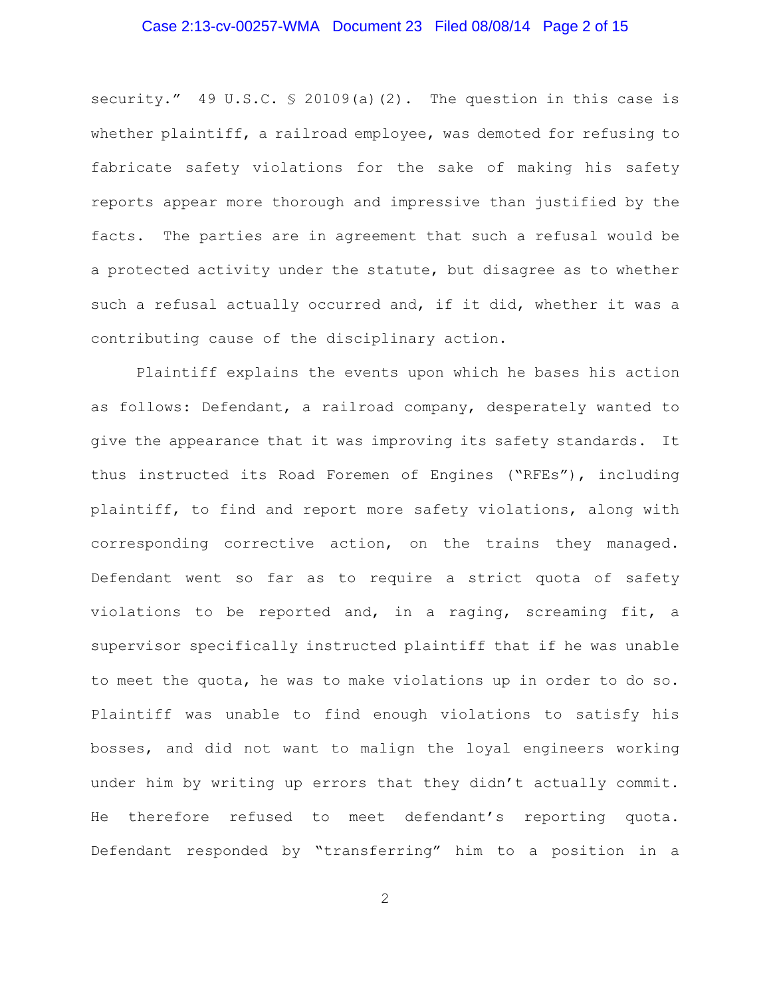### Case 2:13-cv-00257-WMA Document 23 Filed 08/08/14 Page 2 of 15

security." 49 U.S.C. § 20109(a)(2). The question in this case is whether plaintiff, a railroad employee, was demoted for refusing to fabricate safety violations for the sake of making his safety reports appear more thorough and impressive than justified by the facts. The parties are in agreement that such a refusal would be a protected activity under the statute, but disagree as to whether such a refusal actually occurred and, if it did, whether it was a contributing cause of the disciplinary action.

Plaintiff explains the events upon which he bases his action as follows: Defendant, a railroad company, desperately wanted to give the appearance that it was improving its safety standards. It thus instructed its Road Foremen of Engines ("RFEs"), including plaintiff, to find and report more safety violations, along with corresponding corrective action, on the trains they managed. Defendant went so far as to require a strict quota of safety violations to be reported and, in a raging, screaming fit, a supervisor specifically instructed plaintiff that if he was unable to meet the quota, he was to make violations up in order to do so. Plaintiff was unable to find enough violations to satisfy his bosses, and did not want to malign the loyal engineers working under him by writing up errors that they didn't actually commit. He therefore refused to meet defendant's reporting quota. Defendant responded by "transferring" him to a position in a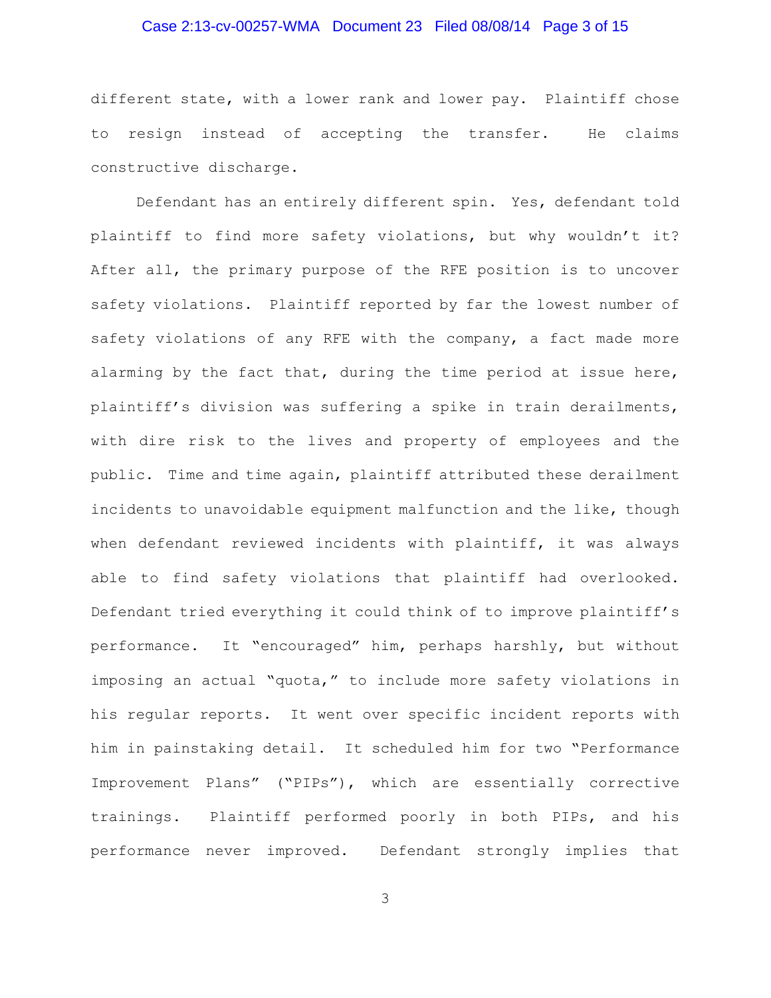# Case 2:13-cv-00257-WMA Document 23 Filed 08/08/14 Page 3 of 15

different state, with a lower rank and lower pay. Plaintiff chose to resign instead of accepting the transfer. He claims constructive discharge.

Defendant has an entirely different spin. Yes, defendant told plaintiff to find more safety violations, but why wouldn't it? After all, the primary purpose of the RFE position is to uncover safety violations. Plaintiff reported by far the lowest number of safety violations of any RFE with the company, a fact made more alarming by the fact that, during the time period at issue here, plaintiff's division was suffering a spike in train derailments, with dire risk to the lives and property of employees and the public. Time and time again, plaintiff attributed these derailment incidents to unavoidable equipment malfunction and the like, though when defendant reviewed incidents with plaintiff, it was always able to find safety violations that plaintiff had overlooked. Defendant tried everything it could think of to improve plaintiff's performance. It "encouraged" him, perhaps harshly, but without imposing an actual "quota," to include more safety violations in his regular reports. It went over specific incident reports with him in painstaking detail. It scheduled him for two "Performance Improvement Plans" ("PIPs"), which are essentially corrective trainings. Plaintiff performed poorly in both PIPs, and his performance never improved. Defendant strongly implies that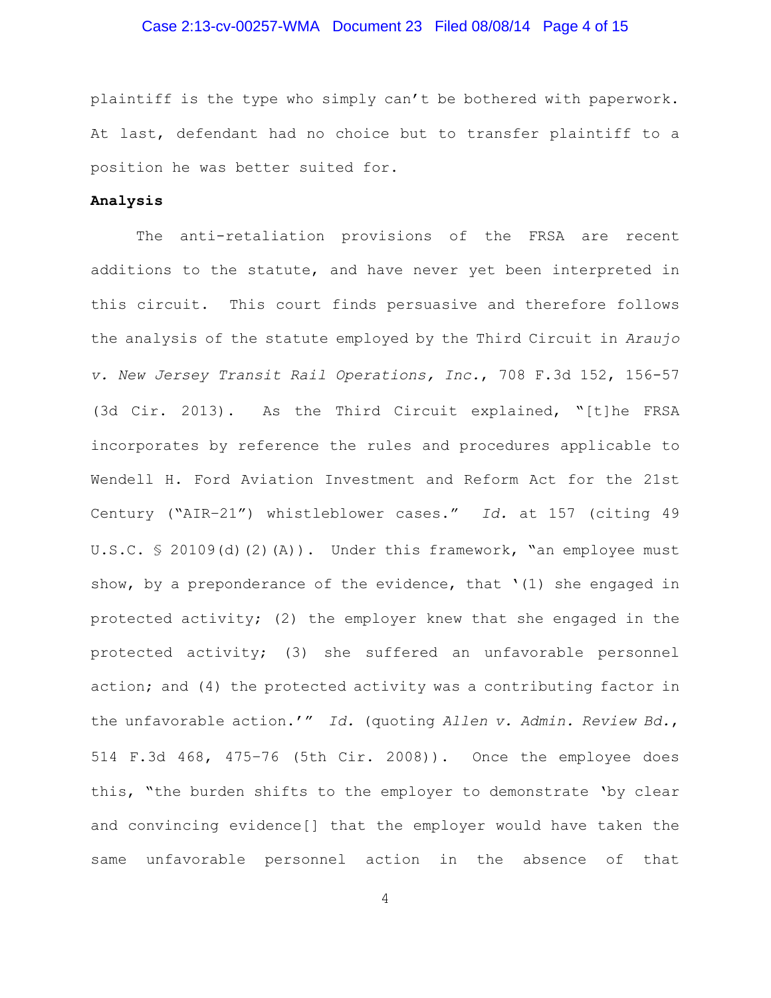### Case 2:13-cv-00257-WMA Document 23 Filed 08/08/14 Page 4 of 15

plaintiff is the type who simply can't be bothered with paperwork. At last, defendant had no choice but to transfer plaintiff to a position he was better suited for.

### **Analysis**

The anti-retaliation provisions of the FRSA are recent additions to the statute, and have never yet been interpreted in this circuit. This court finds persuasive and therefore follows the analysis of the statute employed by the Third Circuit in *Araujo v. New Jersey Transit Rail Operations, Inc.*, 708 F.3d 152, 156-57 (3d Cir. 2013). As the Third Circuit explained, "[t]he FRSA incorporates by reference the rules and procedures applicable to Wendell H. Ford Aviation Investment and Reform Act for the 21st Century ("AIR–21") whistleblower cases." *Id.* at 157 (citing 49 U.S.C. § 20109(d)(2)(A)). Under this framework, "an employee must show, by a preponderance of the evidence, that '(1) she engaged in protected activity; (2) the employer knew that she engaged in the protected activity; (3) she suffered an unfavorable personnel action; and (4) the protected activity was a contributing factor in the unfavorable action.'" *Id.* (quoting *Allen v. Admin. Review Bd.*, 514 F.3d 468, 475–76 (5th Cir. 2008)). Once the employee does this, "the burden shifts to the employer to demonstrate 'by clear and convincing evidence[] that the employer would have taken the same unfavorable personnel action in the absence of that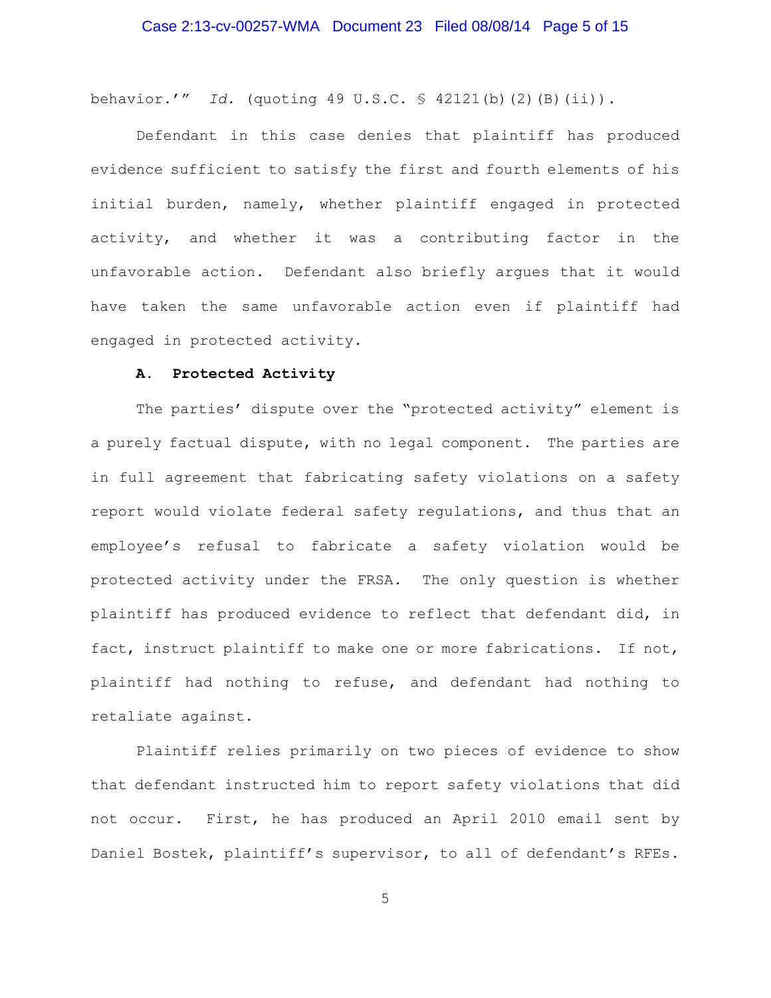behavior.'" *Id.* (quoting 49 U.S.C. § 42121(b)(2)(B)(ii)).

Defendant in this case denies that plaintiff has produced evidence sufficient to satisfy the first and fourth elements of his initial burden, namely, whether plaintiff engaged in protected activity, and whether it was a contributing factor in the unfavorable action. Defendant also briefly argues that it would have taken the same unfavorable action even if plaintiff had engaged in protected activity.

### **A. Protected Activity**

The parties' dispute over the "protected activity" element is a purely factual dispute, with no legal component. The parties are in full agreement that fabricating safety violations on a safety report would violate federal safety regulations, and thus that an employee's refusal to fabricate a safety violation would be protected activity under the FRSA. The only question is whether plaintiff has produced evidence to reflect that defendant did, in fact, instruct plaintiff to make one or more fabrications. If not, plaintiff had nothing to refuse, and defendant had nothing to retaliate against.

Plaintiff relies primarily on two pieces of evidence to show that defendant instructed him to report safety violations that did not occur. First, he has produced an April 2010 email sent by Daniel Bostek, plaintiff's supervisor, to all of defendant's RFEs.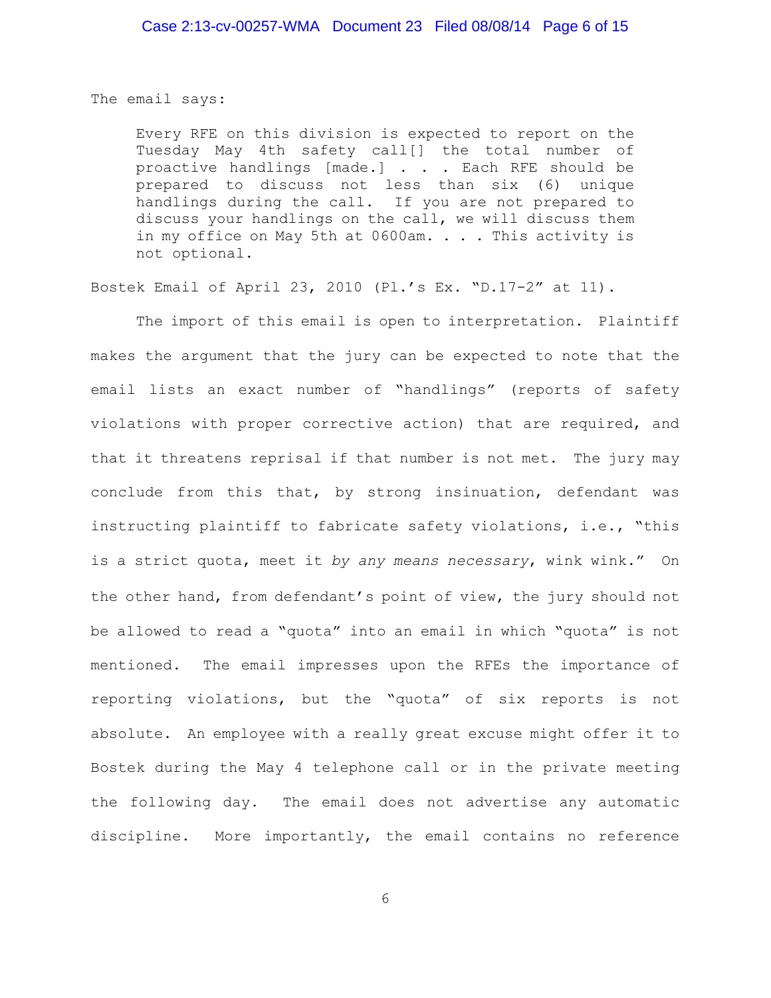The email says:

Every RFE on this division is expected to report on the Tuesday May 4th safety call[] the total number of proactive handlings [made.] . . . Each RFE should be prepared to discuss not less than six (6) unique handlings during the call. If you are not prepared to discuss your handlings on the call, we will discuss them in my office on May 5th at  $0600$ am. . . . This activity is not optional.

Bostek Email of April 23, 2010 (Pl.'s Ex. "D.17-2" at 11).

The import of this email is open to interpretation. Plaintiff makes the argument that the jury can be expected to note that the email lists an exact number of "handlings" (reports of safety violations with proper corrective action) that are required, and that it threatens reprisal if that number is not met. The jury may conclude from this that, by strong insinuation, defendant was instructing plaintiff to fabricate safety violations, i.e., "this is a strict quota, meet it *by any means necessary*, wink wink." On the other hand, from defendant's point of view, the jury should not be allowed to read a "quota" into an email in which "quota" is not mentioned. The email impresses upon the RFEs the importance of reporting violations, but the "quota" of six reports is not absolute. An employee with a really great excuse might offer it to Bostek during the May 4 telephone call or in the private meeting the following day. The email does not advertise any automatic discipline. More importantly, the email contains no reference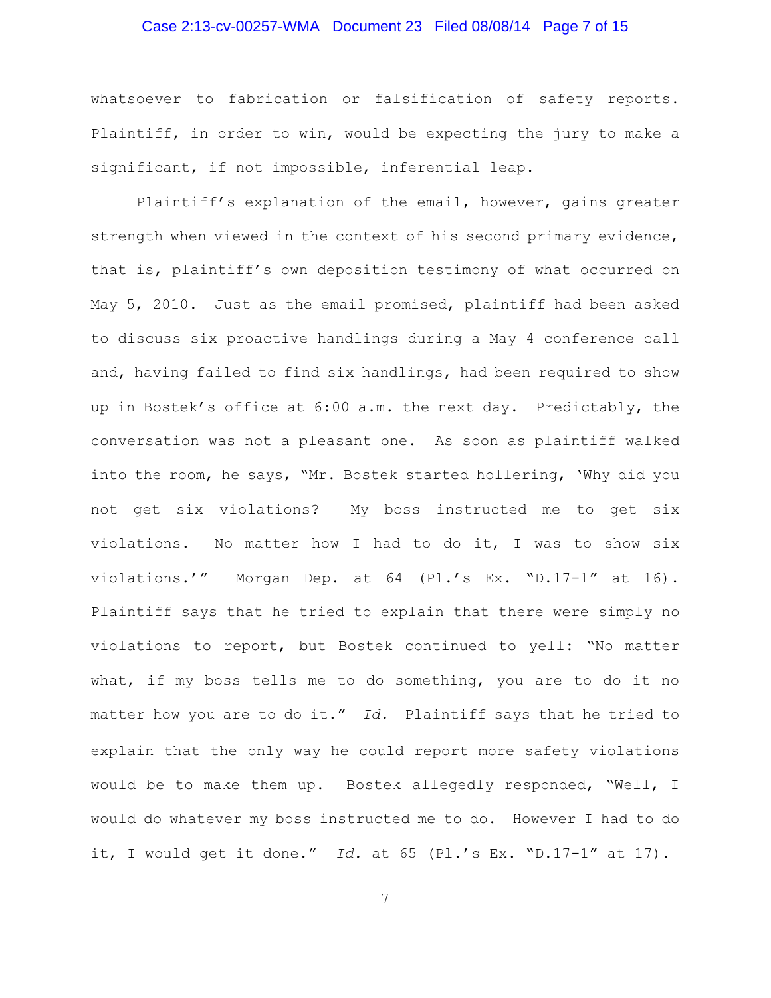### Case 2:13-cv-00257-WMA Document 23 Filed 08/08/14 Page 7 of 15

whatsoever to fabrication or falsification of safety reports. Plaintiff, in order to win, would be expecting the jury to make a significant, if not impossible, inferential leap.

Plaintiff's explanation of the email, however, gains greater strength when viewed in the context of his second primary evidence, that is, plaintiff's own deposition testimony of what occurred on May 5, 2010. Just as the email promised, plaintiff had been asked to discuss six proactive handlings during a May 4 conference call and, having failed to find six handlings, had been required to show up in Bostek's office at 6:00 a.m. the next day. Predictably, the conversation was not a pleasant one. As soon as plaintiff walked into the room, he says, "Mr. Bostek started hollering, 'Why did you not get six violations? My boss instructed me to get six violations. No matter how I had to do it, I was to show six violations.'" Morgan Dep. at 64 (Pl.'s Ex. "D.17-1" at 16). Plaintiff says that he tried to explain that there were simply no violations to report, but Bostek continued to yell: "No matter what, if my boss tells me to do something, you are to do it no matter how you are to do it." *Id.* Plaintiff says that he tried to explain that the only way he could report more safety violations would be to make them up. Bostek allegedly responded, "Well, I would do whatever my boss instructed me to do. However I had to do it, I would get it done." *Id.* at 65 (Pl.'s Ex. "D.17-1" at 17).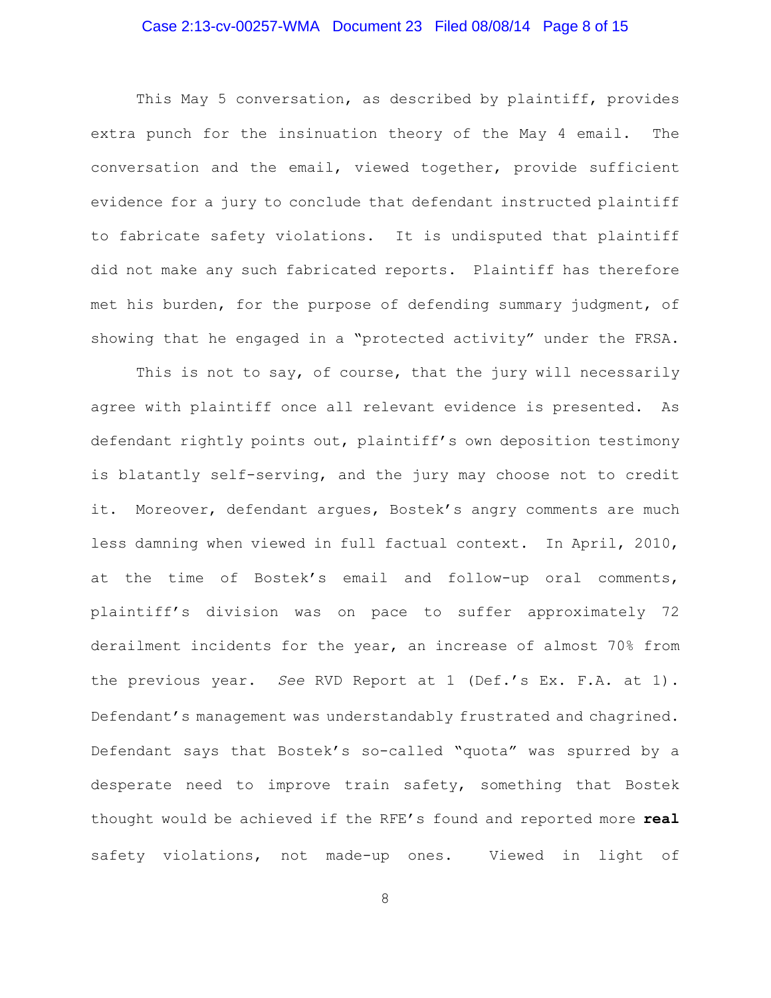# Case 2:13-cv-00257-WMA Document 23 Filed 08/08/14 Page 8 of 15

This May 5 conversation, as described by plaintiff, provides extra punch for the insinuation theory of the May 4 email. The conversation and the email, viewed together, provide sufficient evidence for a jury to conclude that defendant instructed plaintiff to fabricate safety violations. It is undisputed that plaintiff did not make any such fabricated reports. Plaintiff has therefore met his burden, for the purpose of defending summary judgment, of showing that he engaged in a "protected activity" under the FRSA.

This is not to say, of course, that the jury will necessarily agree with plaintiff once all relevant evidence is presented. As defendant rightly points out, plaintiff's own deposition testimony is blatantly self-serving, and the jury may choose not to credit it. Moreover, defendant argues, Bostek's angry comments are much less damning when viewed in full factual context. In April, 2010, at the time of Bostek's email and follow-up oral comments, plaintiff's division was on pace to suffer approximately 72 derailment incidents for the year, an increase of almost 70% from the previous year. *See* RVD Report at 1 (Def.'s Ex. F.A. at 1). Defendant's management was understandably frustrated and chagrined. Defendant says that Bostek's so-called "quota" was spurred by a desperate need to improve train safety, something that Bostek thought would be achieved if the RFE's found and reported more **real** safety violations, not made-up ones. Viewed in light of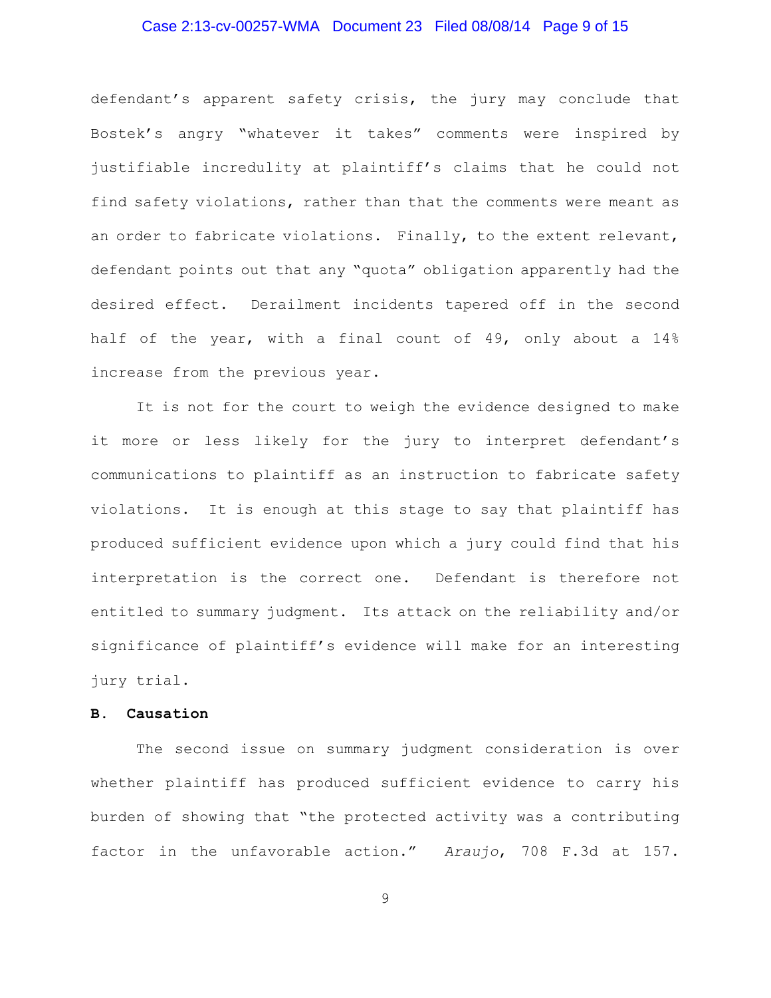### Case 2:13-cv-00257-WMA Document 23 Filed 08/08/14 Page 9 of 15

defendant's apparent safety crisis, the jury may conclude that Bostek's angry "whatever it takes" comments were inspired by justifiable incredulity at plaintiff's claims that he could not find safety violations, rather than that the comments were meant as an order to fabricate violations. Finally, to the extent relevant, defendant points out that any "quota" obligation apparently had the desired effect. Derailment incidents tapered off in the second half of the year, with a final count of 49, only about a 14% increase from the previous year.

It is not for the court to weigh the evidence designed to make it more or less likely for the jury to interpret defendant's communications to plaintiff as an instruction to fabricate safety violations. It is enough at this stage to say that plaintiff has produced sufficient evidence upon which a jury could find that his interpretation is the correct one. Defendant is therefore not entitled to summary judgment. Its attack on the reliability and/or significance of plaintiff's evidence will make for an interesting jury trial.

## **B. Causation**

The second issue on summary judgment consideration is over whether plaintiff has produced sufficient evidence to carry his burden of showing that "the protected activity was a contributing factor in the unfavorable action." *Araujo*, 708 F.3d at 157.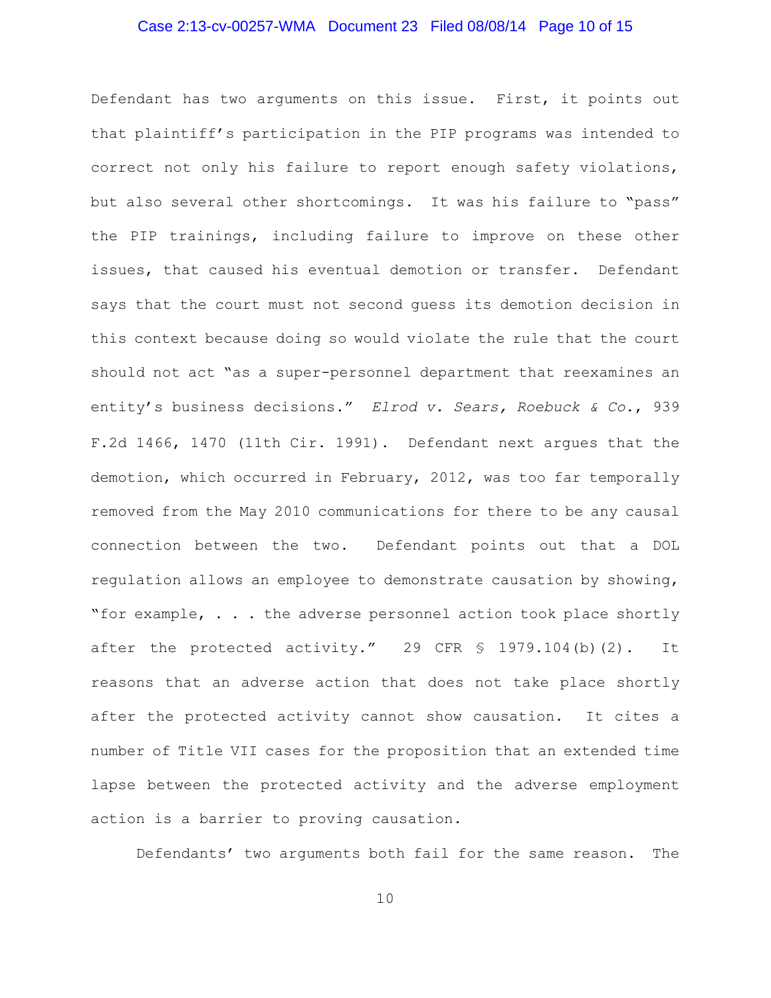### Case 2:13-cv-00257-WMA Document 23 Filed 08/08/14 Page 10 of 15

Defendant has two arguments on this issue. First, it points out that plaintiff's participation in the PIP programs was intended to correct not only his failure to report enough safety violations, but also several other shortcomings. It was his failure to "pass" the PIP trainings, including failure to improve on these other issues, that caused his eventual demotion or transfer. Defendant says that the court must not second guess its demotion decision in this context because doing so would violate the rule that the court should not act "as a super-personnel department that reexamines an entity's business decisions." *Elrod v. Sears, Roebuck & Co.*, 939 F.2d 1466, 1470 (11th Cir. 1991). Defendant next argues that the demotion, which occurred in February, 2012, was too far temporally removed from the May 2010 communications for there to be any causal connection between the two. Defendant points out that a DOL regulation allows an employee to demonstrate causation by showing, "for example,  $\ldots$  the adverse personnel action took place shortly after the protected activity." 29 CFR  $\frac{1}{9}$  1979.104(b)(2). It reasons that an adverse action that does not take place shortly after the protected activity cannot show causation. It cites a number of Title VII cases for the proposition that an extended time lapse between the protected activity and the adverse employment action is a barrier to proving causation.

Defendants' two arguments both fail for the same reason. The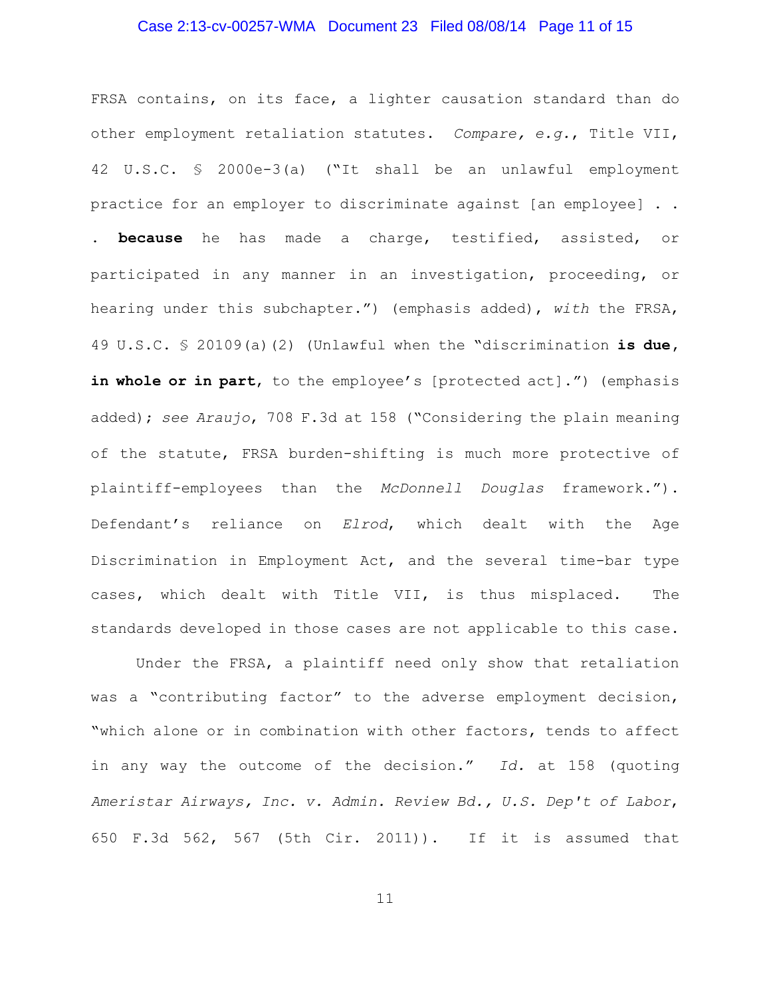### Case 2:13-cv-00257-WMA Document 23 Filed 08/08/14 Page 11 of 15

FRSA contains, on its face, a lighter causation standard than do other employment retaliation statutes. *Compare, e.g.*, Title VII, 42 U.S.C. § 2000e-3(a) ("It shall be an unlawful employment practice for an employer to discriminate against [an employee] . . . **because** he has made a charge, testified, assisted, or participated in any manner in an investigation, proceeding, or hearing under this subchapter.") (emphasis added), *with* the FRSA, 49 U.S.C. § 20109(a)(2) (Unlawful when the "discrimination **is due,** in whole or in part, to the employee's [protected act].") (emphasis added); *see Araujo*, 708 F.3d at 158 ("Considering the plain meaning of the statute, FRSA burden-shifting is much more protective of plaintiff-employees than the *McDonnell Douglas* framework."). Defendant's reliance on *Elrod*, which dealt with the Age Discrimination in Employment Act, and the several time-bar type cases, which dealt with Title VII, is thus misplaced. The standards developed in those cases are not applicable to this case.

Under the FRSA, a plaintiff need only show that retaliation was a "contributing factor" to the adverse employment decision, "which alone or in combination with other factors, tends to affect in any way the outcome of the decision." *Id.* at 158 (quoting *Ameristar Airways, Inc. v. Admin. Review Bd., U.S. Dep't of Labor*, 650 F.3d 562, 567 (5th Cir. 2011)). If it is assumed that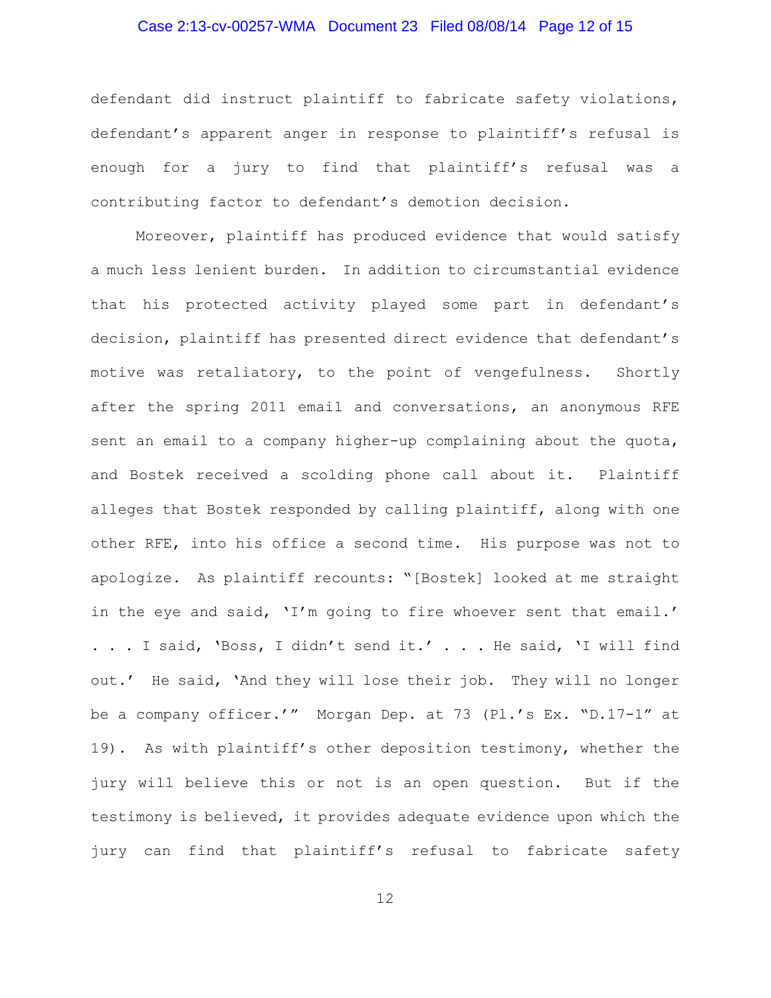### Case 2:13-cv-00257-WMA Document 23 Filed 08/08/14 Page 12 of 15

defendant did instruct plaintiff to fabricate safety violations, defendant's apparent anger in response to plaintiff's refusal is enough for a jury to find that plaintiff's refusal was a contributing factor to defendant's demotion decision.

Moreover, plaintiff has produced evidence that would satisfy a much less lenient burden. In addition to circumstantial evidence that his protected activity played some part in defendant's decision, plaintiff has presented direct evidence that defendant's motive was retaliatory, to the point of vengefulness. Shortly after the spring 2011 email and conversations, an anonymous RFE sent an email to a company higher-up complaining about the quota, and Bostek received a scolding phone call about it. Plaintiff alleges that Bostek responded by calling plaintiff, along with one other RFE, into his office a second time. His purpose was not to apologize. As plaintiff recounts: "[Bostek] looked at me straight in the eye and said, 'I'm going to fire whoever sent that email.' . . . I said, 'Boss, I didn't send it.' . . . He said, 'I will find out.' He said, 'And they will lose their job. They will no longer be a company officer.'" Morgan Dep. at 73 (Pl.'s Ex. "D.17-1" at 19). As with plaintiff's other deposition testimony, whether the jury will believe this or not is an open question. But if the testimony is believed, it provides adequate evidence upon which the jury can find that plaintiff's refusal to fabricate safety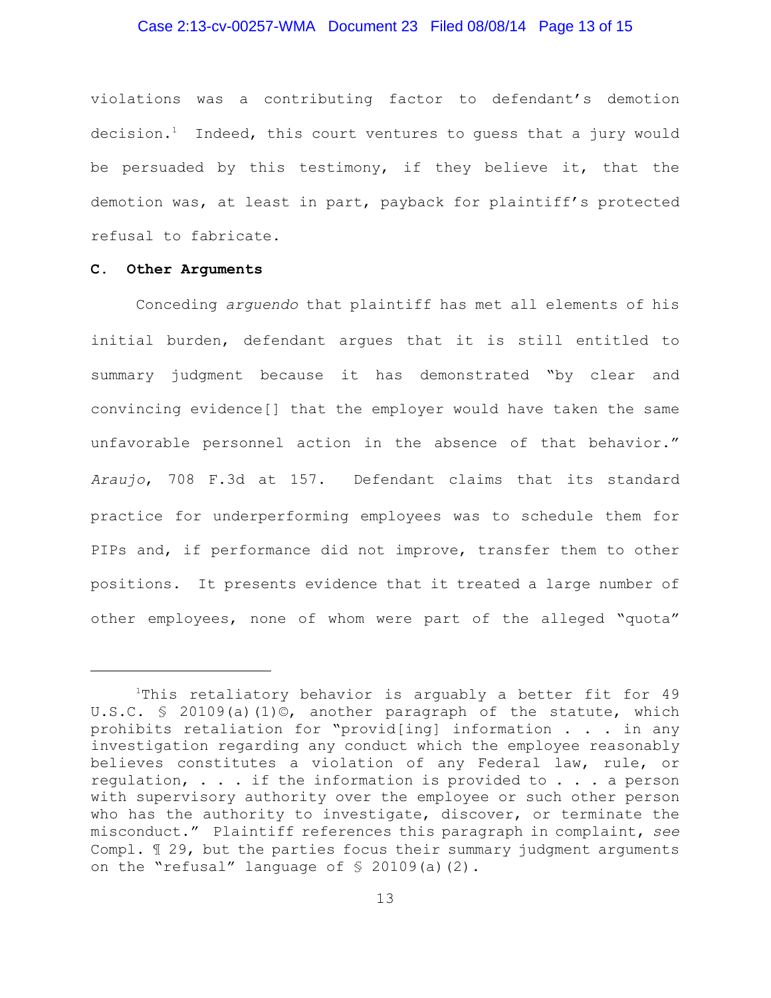### Case 2:13-cv-00257-WMA Document 23 Filed 08/08/14 Page 13 of 15

violations was a contributing factor to defendant's demotion decision.<sup>1</sup> Indeed, this court ventures to quess that a jury would be persuaded by this testimony, if they believe it, that the demotion was, at least in part, payback for plaintiff's protected refusal to fabricate.

#### **C. Other Arguments**

Conceding *arguendo* that plaintiff has met all elements of his initial burden, defendant argues that it is still entitled to summary judgment because it has demonstrated "by clear and convincing evidence[] that the employer would have taken the same unfavorable personnel action in the absence of that behavior." *Araujo*, 708 F.3d at 157. Defendant claims that its standard practice for underperforming employees was to schedule them for PIPs and, if performance did not improve, transfer them to other positions. It presents evidence that it treated a large number of other employees, none of whom were part of the alleged "quota"

 $1$ This retaliatory behavior is arguably a better fit for 49 U.S.C. § 20109(a)(1)©, another paragraph of the statute, which prohibits retaliation for "provid[ing] information . . . in any investigation regarding any conduct which the employee reasonably believes constitutes a violation of any Federal law, rule, or regulation, . . . if the information is provided to . . . a person with supervisory authority over the employee or such other person who has the authority to investigate, discover, or terminate the misconduct." Plaintiff references this paragraph in complaint, *see* Compl. ¶ 29, but the parties focus their summary judgment arguments on the "refusal" language of § 20109(a)(2).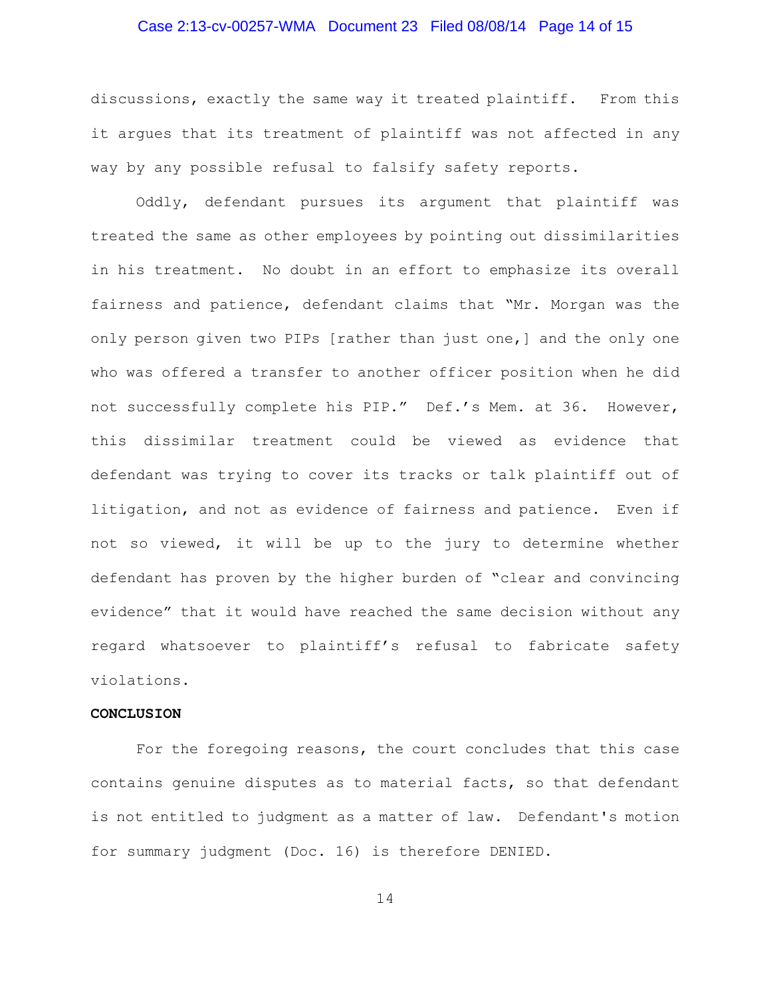### Case 2:13-cv-00257-WMA Document 23 Filed 08/08/14 Page 14 of 15

discussions, exactly the same way it treated plaintiff. From this it argues that its treatment of plaintiff was not affected in any way by any possible refusal to falsify safety reports.

Oddly, defendant pursues its argument that plaintiff was treated the same as other employees by pointing out dissimilarities in his treatment. No doubt in an effort to emphasize its overall fairness and patience, defendant claims that "Mr. Morgan was the only person given two PIPs [rather than just one,] and the only one who was offered a transfer to another officer position when he did not successfully complete his PIP." Def.'s Mem. at 36. However, this dissimilar treatment could be viewed as evidence that defendant was trying to cover its tracks or talk plaintiff out of litigation, and not as evidence of fairness and patience. Even if not so viewed, it will be up to the jury to determine whether defendant has proven by the higher burden of "clear and convincing evidence" that it would have reached the same decision without any regard whatsoever to plaintiff's refusal to fabricate safety violations.

#### **CONCLUSION**

For the foregoing reasons, the court concludes that this case contains genuine disputes as to material facts, so that defendant is not entitled to judgment as a matter of law. Defendant's motion for summary judgment (Doc. 16) is therefore DENIED.